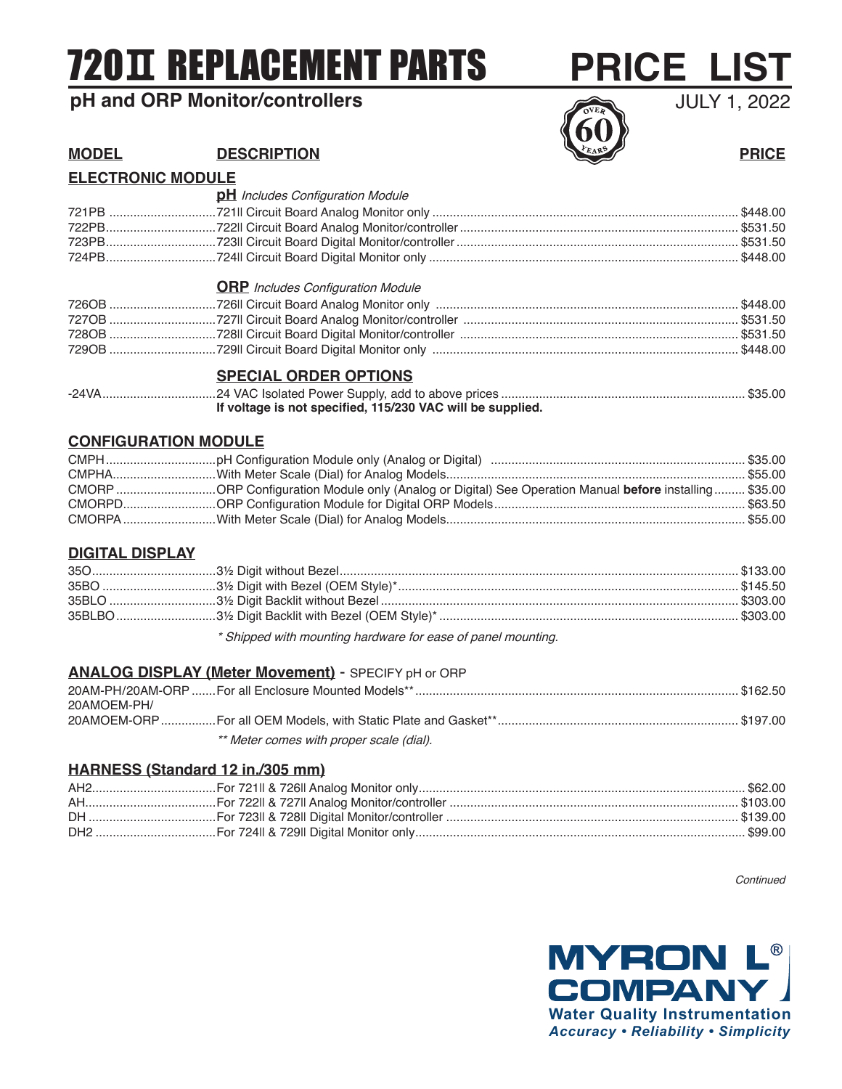# 720 REPLACEMENT PARTS

# **pH and ORP Monitor/controllers**



# **MODEL DESCRIPTION DESCRIPTION PRICE**

### **ELECTRONIC MODULE**

| <b>pH</b> Includes Configuration Module                    |  |
|------------------------------------------------------------|--|
|                                                            |  |
|                                                            |  |
|                                                            |  |
|                                                            |  |
| <b>ORP</b> Includes Configuration Module                   |  |
|                                                            |  |
|                                                            |  |
|                                                            |  |
|                                                            |  |
| <b>SPECIAL ORDER OPTIONS</b>                               |  |
| If voltage is not specified, 115/230 VAC will be supplied. |  |

#### **CONFIGURATION MODULE**

| CMORP ORP Configuration Module only (Analog or Digital) See Operation Manual before installing  \$35.00 |  |
|---------------------------------------------------------------------------------------------------------|--|
|                                                                                                         |  |
|                                                                                                         |  |

### **DIGITAL DISPLAY**

\* Shipped with mounting hardware for ease of panel mounting.

#### **ANALOG DISPLAY (Meter Movement)** - SPECIFY pH or ORP

| 20AM-PH/20AM-ORP  For all Enclosure Mounted Models** |  |
|------------------------------------------------------|--|
| 20AMOEM-PH/                                          |  |
|                                                      |  |
| ** Meter comes with proper scale (dial).             |  |

## **HARNESS (Standard 12 in./305 mm)**

Continued